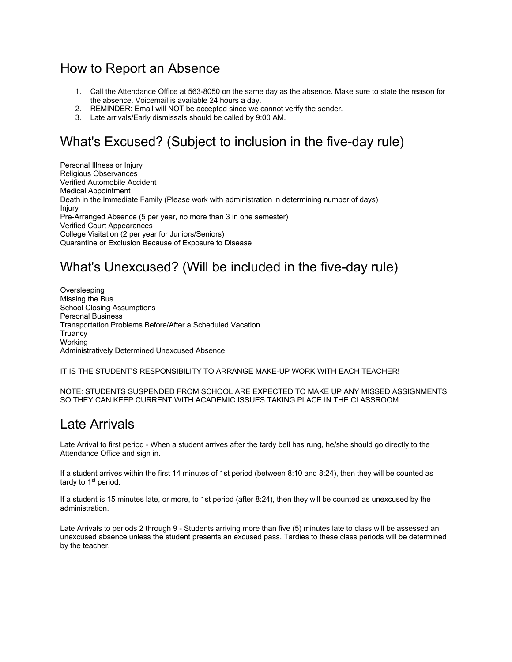### How to Report an Absence

- 1. Call the Attendance Office at 563-8050 on the same day as the absence. Make sure to state the reason for the absence. Voicemail is available 24 hours a day.
- 2. REMINDER: Email will NOT be accepted since we cannot verify the sender.
- 3. Late arrivals/Early dismissals should be called by 9:00 AM.

# What's Excused? (Subject to inclusion in the five-day rule)

Personal Illness or Injury Religious Observances Verified Automobile Accident Medical Appointment Death in the Immediate Family (Please work with administration in determining number of days) Injury Pre-Arranged Absence (5 per year, no more than 3 in one semester) Verified Court Appearances College Visitation (2 per year for Juniors/Seniors) Quarantine or Exclusion Because of Exposure to Disease

## What's Unexcused? (Will be included in the five-day rule)

Oversleeping Missing the Bus School Closing Assumptions Personal Business Transportation Problems Before/After a Scheduled Vacation **Truancy Working** Administratively Determined Unexcused Absence

IT IS THE STUDENT'S RESPONSIBILITY TO ARRANGE MAKE-UP WORK WITH EACH TEACHER!

#### NOTE: STUDENTS SUSPENDED FROM SCHOOL ARE EXPECTED TO MAKE UP ANY MISSED ASSIGNMENTS SO THEY CAN KEEP CURRENT WITH ACADEMIC ISSUES TAKING PLACE IN THE CLASSROOM.

### Late Arrivals

Late Arrival to first period - When a student arrives after the tardy bell has rung, he/she should go directly to the Attendance Office and sign in.

If a student arrives within the first 14 minutes of 1st period (between 8:10 and 8:24), then they will be counted as tardy to 1<sup>st</sup> period.

If a student is 15 minutes late, or more, to 1st period (after 8:24), then they will be counted as unexcused by the administration.

Late Arrivals to periods 2 through 9 - Students arriving more than five (5) minutes late to class will be assessed an unexcused absence unless the student presents an excused pass. Tardies to these class periods will be determined by the teacher.